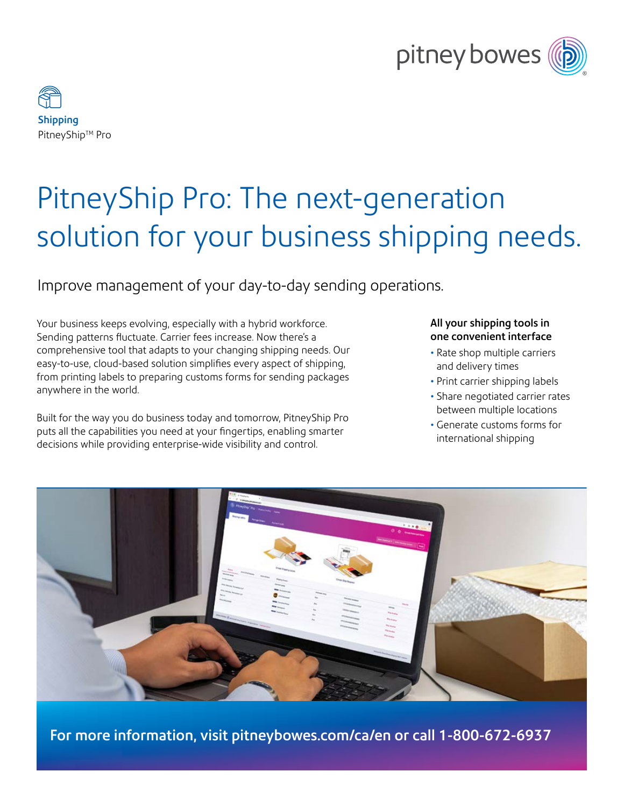



# PitneyShip Pro: The next-generation solution for your business shipping needs.

### Improve management of your day-to-day sending operations.

Your business keeps evolving, especially with a hybrid workforce. Sending patterns fluctuate. Carrier fees increase. Now there's a comprehensive tool that adapts to your changing shipping needs. Our easy-to-use, cloud-based solution simplifies every aspect of shipping, from printing labels to preparing customs forms for sending packages anywhere in the world.

Built for the way you do business today and tomorrow, PitneyShip Pro puts all the capabilities you need at your fingertips, enabling smarter decisions while providing enterprise-wide visibility and control.

#### All your shipping tools in one convenient interface

- Rate shop multiple carriers and delivery times
- Print carrier shipping labels
- Share negotiated carrier rates between multiple locations
- Generate customs forms for international shipping



For more information, visit [pitneybowes.com/ca/en](http://pitneybowes.com/ca/en) or call 1-800-672-6937